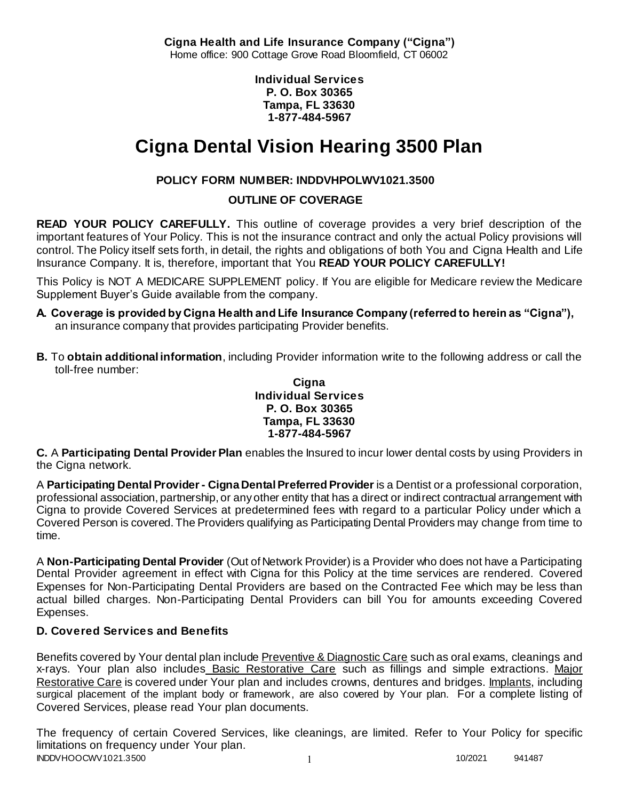**Cigna Health and Life Insurance Company ("Cigna")** Home office: 900 Cottage Grove Road Bloomfield, CT 06002

> **Individual Services P. O. Box 30365 Tampa, FL 33630 1-877-484-5967**

# **Cigna Dental Vision Hearing 3500 Plan**

# **POLICY FORM NUMBER: INDDVHPOLWV1021.3500**

**OUTLINE OF COVERAGE** 

**READ YOUR POLICY CAREFULLY.** This outline of coverage provides a very brief description of the important features of Your Policy. This is not the insurance contract and only the actual Policy provisions will control. The Policy itself sets forth, in detail, the rights and obligations of both You and Cigna Health and Life Insurance Company. It is, therefore, important that You **READ YOUR POLICY CAREFULLY!** 

This Policy is NOT A MEDICARE SUPPLEMENT policy. If You are eligible for Medicare review the Medicare Supplement Buyer's Guide available from the company.

- **A. Coverage is provided by Cigna Health and Life Insurance Company (referred to herein as "Cigna"),**  an insurance company that provides participating Provider benefits.
- **B.** To **obtain additional information**, including Provider information write to the following address or call the toll-free number:

### **Cigna Individual Services P. O. Box 30365 Tampa, FL 33630 1-877-484-5967**

**C.** A **Participating Dental Provider Plan** enables the Insured to incur lower dental costs by using Providers in the Cigna network.

A **Participating Dental Provider - Cigna Dental Preferred Provider** is a Dentist or a professional corporation, professional association, partnership, or any other entity that has a direct or indirect contractual arrangement with Cigna to provide Covered Services at predetermined fees with regard to a particular Policy under which a Covered Person is covered. The Providers qualifying as Participating Dental Providers may change from time to time.

A **Non-Participating Dental Provider** (Out of Network Provider) is a Provider who does not have a Participating Dental Provider agreement in effect with Cigna for this Policy at the time services are rendered. Covered Expenses for Non-Participating Dental Providers are based on the Contracted Fee which may be less than actual billed charges. Non-Participating Dental Providers can bill You for amounts exceeding Covered Expenses.

# **D. Covered Services and Benefits**

Benefits covered by Your dental plan include Preventive & Diagnostic Care such as oral exams, cleanings and x-rays. Your plan also includes Basic Restorative Care such as fillings and simple extractions. Major Restorative Care is covered under Your plan and includes crowns, dentures and bridges. Implants, including surgical placement of the implant body or framework, are also covered by Your plan. For a complete listing of Covered Services, please read Your plan documents.

INDDVHOOCWV1021.3500 1 10/2021 941487 The frequency of certain Covered Services, like cleanings, are limited. Refer to Your Policy for specific limitations on frequency under Your plan.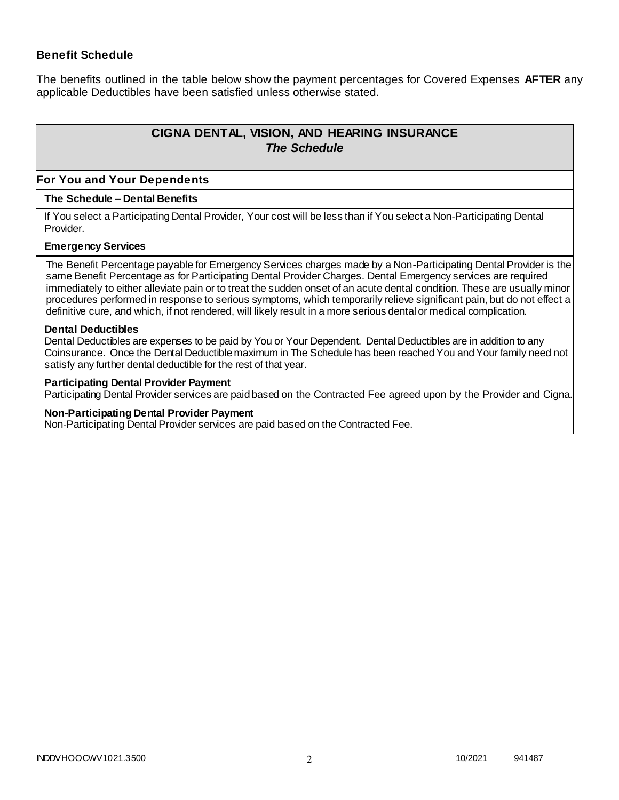### **Benefit Schedule**

The benefits outlined in the table below show the payment percentages for Covered Expenses **AFTER** any applicable Deductibles have been satisfied unless otherwise stated.

# **CIGNA DENTAL, VISION, AND HEARING INSURANCE** *The Schedule*

#### **For You and Your Dependents**

### **The Schedule – Dental Benefits**

If You select a Participating Dental Provider, Your cost will be less than if You select a Non-Participating Dental Provider.

#### **Emergency Services**

The Benefit Percentage payable for Emergency Services charges made by a Non-Participating Dental Provider is the same Benefit Percentage as for Participating Dental Provider Charges. Dental Emergency services are required immediately to either alleviate pain or to treat the sudden onset of an acute dental condition. These are usually minor procedures performed in response to serious symptoms, which temporarily relieve significant pain, but do not effect a definitive cure, and which, if not rendered, will likely result in a more serious dental or medical complication.

#### **Dental Deductibles**

Dental Deductibles are expenses to be paid by You or Your Dependent. Dental Deductibles are in addition to any Coinsurance. Once the Dental Deductible maximum in The Schedule has been reached You and Your family need not satisfy any further dental deductible for the rest of that year.

#### **Participating Dental Provider Payment**

Participating Dental Provider services are paid based on the Contracted Fee agreed upon by the Provider and Cigna.

#### **Non-Participating Dental Provider Payment**

Non-Participating Dental Provider services are paid based on the Contracted Fee.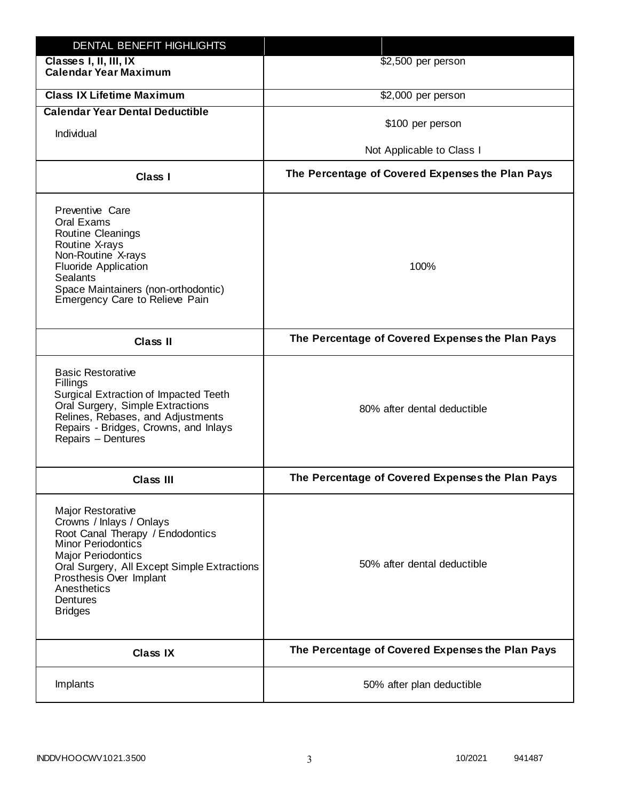| DENTAL BENEFIT HIGHLIGHTS                                                                                                                                                                                                                                                 |                                                  |
|---------------------------------------------------------------------------------------------------------------------------------------------------------------------------------------------------------------------------------------------------------------------------|--------------------------------------------------|
| Classes I, II, III, IX<br><b>Calendar Year Maximum</b>                                                                                                                                                                                                                    | \$2,500 per person                               |
| <b>Class IX Lifetime Maximum</b>                                                                                                                                                                                                                                          | \$2,000 per person                               |
| <b>Calendar Year Dental Deductible</b>                                                                                                                                                                                                                                    |                                                  |
| Individual                                                                                                                                                                                                                                                                | \$100 per person                                 |
|                                                                                                                                                                                                                                                                           | Not Applicable to Class I                        |
| Class I                                                                                                                                                                                                                                                                   | The Percentage of Covered Expenses the Plan Pays |
| Preventive Care<br>Oral Exams<br><b>Routine Cleanings</b><br>Routine X-rays<br>Non-Routine X-rays<br><b>Fluoride Application</b><br><b>Sealants</b><br>Space Maintainers (non-orthodontic)<br>Emergency Care to Relieve Pain                                              | 100%                                             |
| <b>Class II</b>                                                                                                                                                                                                                                                           | The Percentage of Covered Expenses the Plan Pays |
| <b>Basic Restorative</b><br>Fillings<br>Surgical Extraction of Impacted Teeth<br>Oral Surgery, Simple Extractions<br>Relines, Rebases, and Adjustments<br>Repairs - Bridges, Crowns, and Inlays<br>Repairs - Dentures                                                     | 80% after dental deductible                      |
| <b>Class III</b>                                                                                                                                                                                                                                                          | The Percentage of Covered Expenses the Plan Pays |
| <b>Major Restorative</b><br>Crowns / Inlays / Onlays<br>Root Canal Therapy / Endodontics<br><b>Minor Periodontics</b><br><b>Major Periodontics</b><br>Oral Surgery, All Except Simple Extractions<br>Prosthesis Over Implant<br>Anesthetics<br>Dentures<br><b>Bridges</b> | 50% after dental deductible                      |
| <b>Class IX</b>                                                                                                                                                                                                                                                           | The Percentage of Covered Expenses the Plan Pays |
| Implants                                                                                                                                                                                                                                                                  | 50% after plan deductible                        |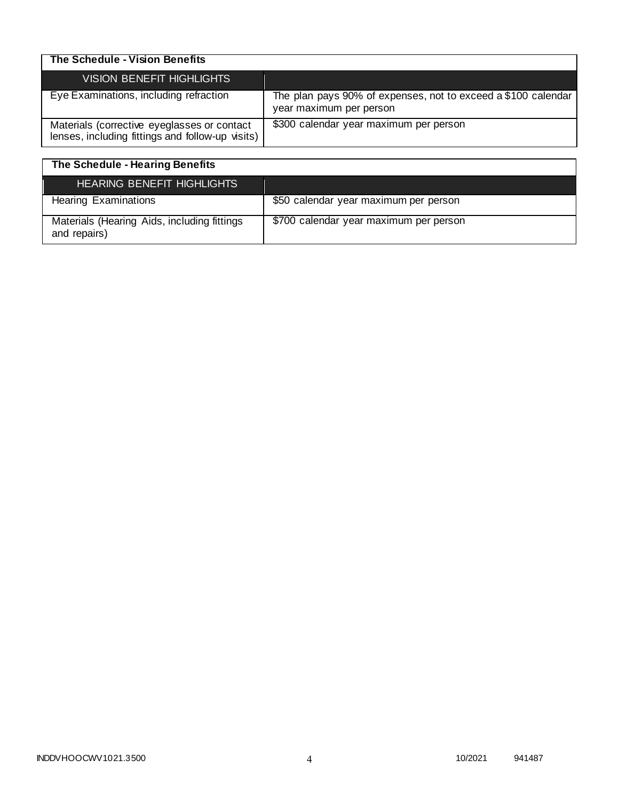| The Schedule - Vision Benefits                                                                  |                                                                                          |
|-------------------------------------------------------------------------------------------------|------------------------------------------------------------------------------------------|
| <b>VISION BENEFIT HIGHLIGHTS</b>                                                                |                                                                                          |
| Eye Examinations, including refraction                                                          | The plan pays 90% of expenses, not to exceed a \$100 calendar<br>year maximum per person |
| Materials (corrective eyeglasses or contact<br>lenses, including fittings and follow-up visits) | \$300 calendar year maximum per person                                                   |

| The Schedule - Hearing Benefits                             |                                        |
|-------------------------------------------------------------|----------------------------------------|
| <b>HEARING BENEFIT HIGHLIGHTS</b>                           |                                        |
| <b>Hearing Examinations</b>                                 | \$50 calendar year maximum per person  |
| Materials (Hearing Aids, including fittings<br>and repairs) | \$700 calendar year maximum per person |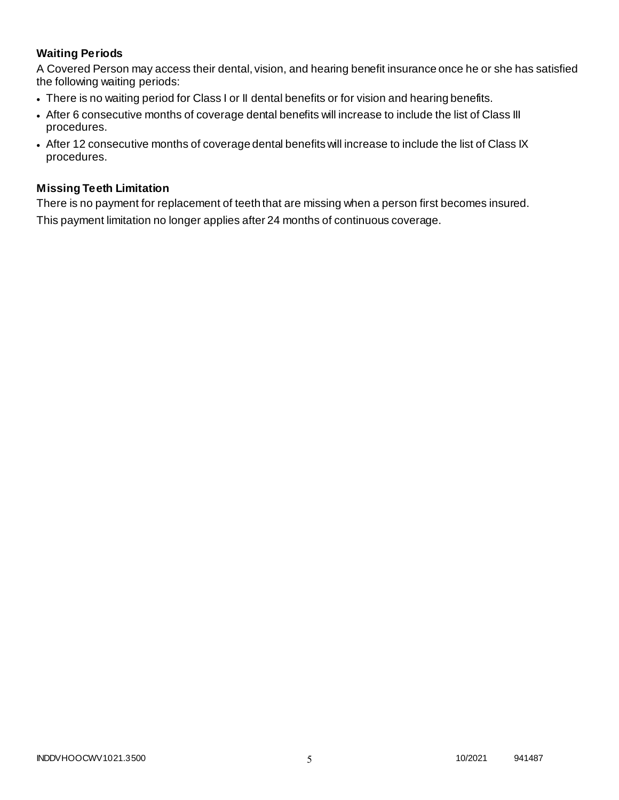# **Waiting Periods**

A Covered Person may access their dental, vision, and hearing benefit insurance once he or she has satisfied the following waiting periods:

- There is no waiting period for Class I or II dental benefits or for vision and hearing benefits.
- After 6 consecutive months of coverage dental benefits will increase to include the list of Class III procedures.
- After 12 consecutive months of coverage dental benefits will increase to include the list of Class IX procedures.

### **Missing Teeth Limitation**

There is no payment for replacement of teeth that are missing when a person first becomes insured. This payment limitation no longer applies after 24 months of continuous coverage.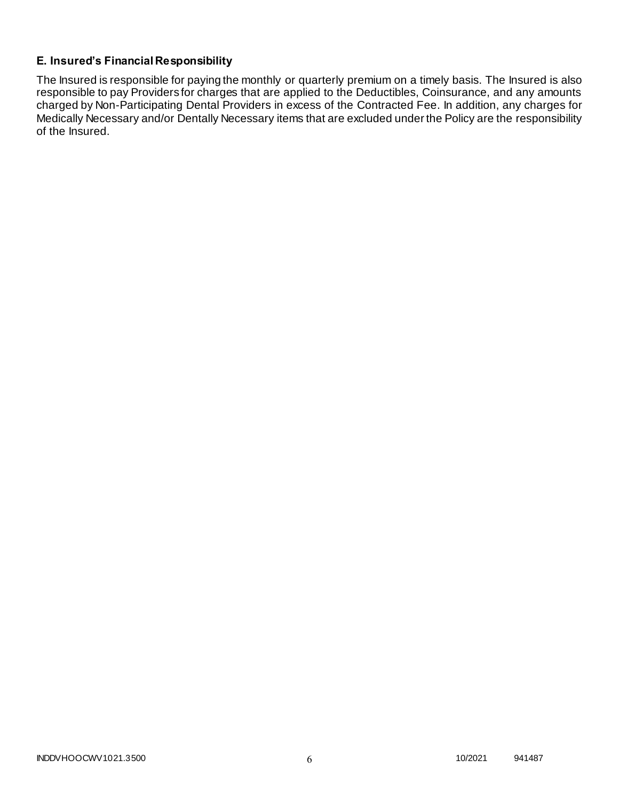# **E. Insured's Financial Responsibility**

The Insured is responsible for paying the monthly or quarterly premium on a timely basis. The Insured is also responsible to pay Providers for charges that are applied to the Deductibles, Coinsurance, and any amounts charged by Non-Participating Dental Providers in excess of the Contracted Fee. In addition, any charges for Medically Necessary and/or Dentally Necessary items that are excluded under the Policy are the responsibility of the Insured.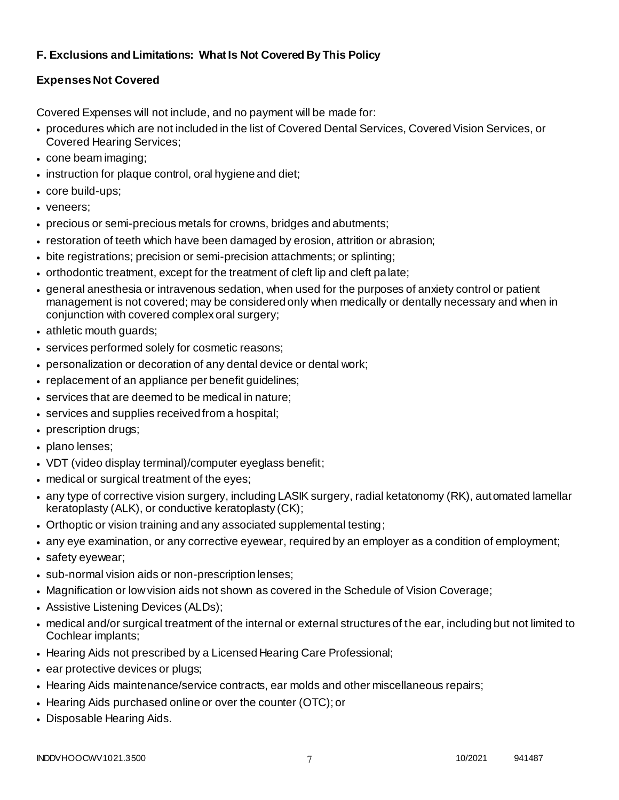# **F. Exclusions and Limitations: What Is Not Covered By This Policy**

# **Expenses Not Covered**

Covered Expenses will not include, and no payment will be made for:

- procedures which are not included in the list of Covered Dental Services, Covered Vision Services, or Covered Hearing Services;
- cone beam imaging;
- instruction for plaque control, oral hygiene and diet;
- core build-ups;
- veneers;
- precious or semi-precious metals for crowns, bridges and abutments;
- restoration of teeth which have been damaged by erosion, attrition or abrasion;
- bite registrations; precision or semi-precision attachments; or splinting;
- orthodontic treatment, except for the treatment of cleft lip and cleft palate;
- general anesthesia or intravenous sedation, when used for the purposes of anxiety control or patient management is not covered; may be considered only when medically or dentally necessary and when in conjunction with covered complex oral surgery;
- athletic mouth guards;
- services performed solely for cosmetic reasons;
- personalization or decoration of any dental device or dental work;
- replacement of an appliance per benefit guidelines;
- services that are deemed to be medical in nature;
- services and supplies received from a hospital;
- prescription drugs;
- plano lenses;
- VDT (video display terminal)/computer eyeglass benefit;
- medical or surgical treatment of the eyes;
- any type of corrective vision surgery, including LASIK surgery, radial ketatonomy (RK), automated lamellar keratoplasty (ALK), or conductive keratoplasty (CK);
- Orthoptic or vision training and any associated supplemental testing;
- any eye examination, or any corrective eyewear, required by an employer as a condition of employment;
- safety eyewear;
- sub-normal vision aids or non-prescription lenses;
- Magnification or low vision aids not shown as covered in the Schedule of Vision Coverage;
- Assistive Listening Devices (ALDs);
- medical and/or surgical treatment of the internal or external structures of the ear, including but not limited to Cochlear implants;
- Hearing Aids not prescribed by a Licensed Hearing Care Professional;
- ear protective devices or plugs;
- Hearing Aids maintenance/service contracts, ear molds and other miscellaneous repairs;
- Hearing Aids purchased online or over the counter (OTC); or
- Disposable Hearing Aids.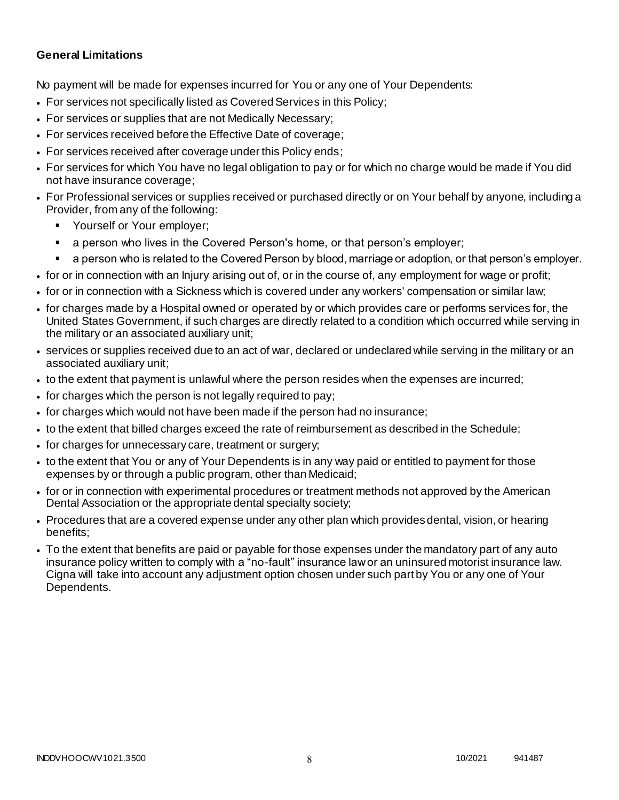### **General Limitations**

No payment will be made for expenses incurred for You or any one of Your Dependents:

- For services not specifically listed as Covered Services in this Policy;
- For services or supplies that are not Medically Necessary;
- For services received before the Effective Date of coverage;
- For services received after coverage under this Policy ends;
- For services for which You have no legal obligation to pay or for which no charge would be made if You did not have insurance coverage;
- For Professional services or supplies received or purchased directly or on Your behalf by anyone, including a Provider, from any of the following:
	- Yourself or Your employer;
	- a person who lives in the Covered Person's home, or that person's employer;
	- a person who is related to the Covered Person by blood, marriage or adoption, or that person's employer.
- for or in connection with an Injury arising out of, or in the course of, any employment for wage or profit;
- for or in connection with a Sickness which is covered under any workers' compensation or similar law;
- for charges made by a Hospital owned or operated by or which provides care or performs services for, the United States Government, if such charges are directly related to a condition which occurred while serving in the military or an associated auxiliary unit;
- services or supplies received due to an act of war, declared or undeclared while serving in the military or an associated auxiliary unit;
- to the extent that payment is unlawful where the person resides when the expenses are incurred;
- for charges which the person is not legally required to pay;
- for charges which would not have been made if the person had no insurance;
- to the extent that billed charges exceed the rate of reimbursement as described in the Schedule;
- for charges for unnecessary care, treatment or surgery;
- to the extent that You or any of Your Dependents is in any way paid or entitled to payment for those expenses by or through a public program, other than Medicaid;
- for or in connection with experimental procedures or treatment methods not approved by the American Dental Association or the appropriate dental specialty society;
- Procedures that are a covered expense under any other plan which provides dental, vision, or hearing benefits;
- To the extent that benefits are paid or payable for those expenses under the mandatory part of any auto insurance policy written to comply with a "no-fault" insurance law or an uninsured motorist insurance law. Cigna will take into account any adjustment option chosen under such part by You or any one of Your Dependents.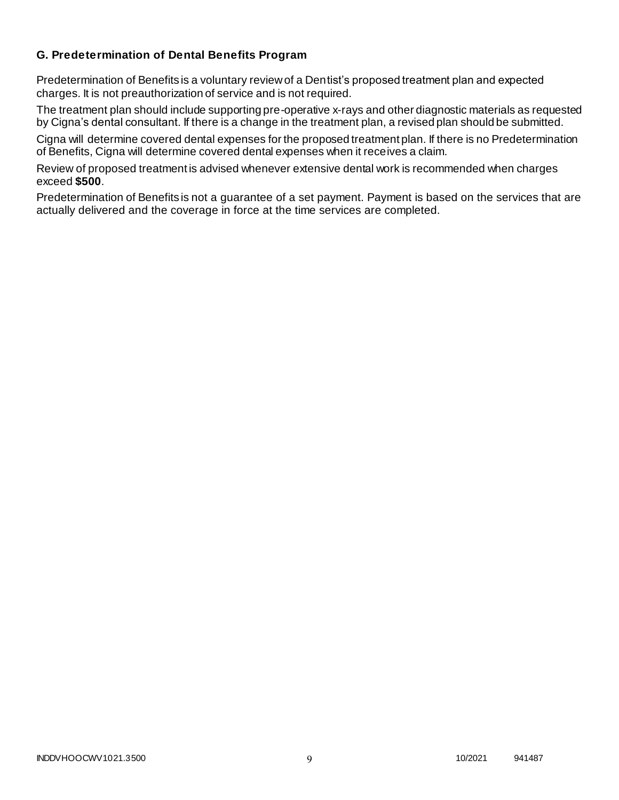### **G. Predetermination of Dental Benefits Program**

Predetermination of Benefits is a voluntary review of a Dentist's proposed treatment plan and expected charges. It is not preauthorization of service and is not required.

The treatment plan should include supporting pre-operative x-rays and other diagnostic materials as requested by Cigna's dental consultant. If there is a change in the treatment plan, a revised plan should be submitted.

Cigna will determine covered dental expenses for the proposed treatment plan. If there is no Predetermination of Benefits, Cigna will determine covered dental expenses when it receives a claim.

Review of proposed treatment is advised whenever extensive dental work is recommended when charges exceed **\$500**.

Predetermination of Benefits is not a guarantee of a set payment. Payment is based on the services that are actually delivered and the coverage in force at the time services are completed.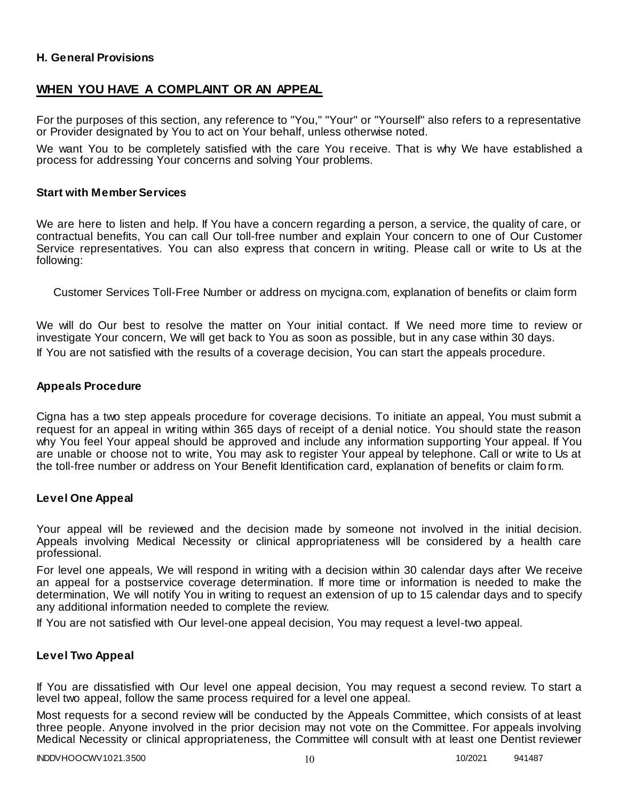### **H. General Provisions**

## **WHEN YOU HAVE A COMPLAINT OR AN APPEAL**

For the purposes of this section, any reference to "You," "Your" or "Yourself" also refers to a representative or Provider designated by You to act on Your behalf, unless otherwise noted.

We want You to be completely satisfied with the care You receive. That is why We have established a process for addressing Your concerns and solving Your problems.

#### **Start with Member Services**

We are here to listen and help. If You have a concern regarding a person, a service, the quality of care, or contractual benefits, You can call Our toll-free number and explain Your concern to one of Our Customer Service representatives. You can also express that concern in writing. Please call or write to Us at the following:

Customer Services Toll-Free Number or address on mycigna.com, explanation of benefits or claim form

We will do Our best to resolve the matter on Your initial contact. If We need more time to review or investigate Your concern, We will get back to You as soon as possible, but in any case within 30 days. If You are not satisfied with the results of a coverage decision, You can start the appeals procedure.

#### **Appeals Procedure**

Cigna has a two step appeals procedure for coverage decisions. To initiate an appeal, You must submit a request for an appeal in writing within 365 days of receipt of a denial notice. You should state the reason why You feel Your appeal should be approved and include any information supporting Your appeal. If You are unable or choose not to write, You may ask to register Your appeal by telephone. Call or write to Us at the toll-free number or address on Your Benefit Identification card, explanation of benefits or claim fo rm.

#### **Level One Appeal**

Your appeal will be reviewed and the decision made by someone not involved in the initial decision. Appeals involving Medical Necessity or clinical appropriateness will be considered by a health care professional.

For level one appeals, We will respond in writing with a decision within 30 calendar days after We receive an appeal for a postservice coverage determination. If more time or information is needed to make the determination, We will notify You in writing to request an extension of up to 15 calendar days and to specify any additional information needed to complete the review.

If You are not satisfied with Our level-one appeal decision, You may request a level-two appeal.

### **Level Two Appeal**

If You are dissatisfied with Our level one appeal decision, You may request a second review. To start a level two appeal, follow the same process required for a level one appeal.

Most requests for a second review will be conducted by the Appeals Committee, which consists of at least three people. Anyone involved in the prior decision may not vote on the Committee. For appeals involving Medical Necessity or clinical appropriateness, the Committee will consult with at least one Dentist reviewer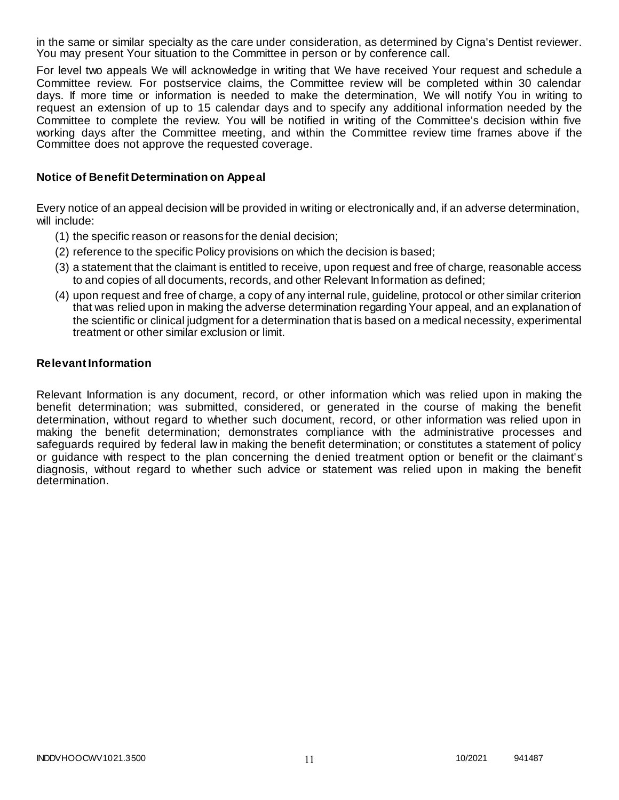in the same or similar specialty as the care under consideration, as determined by Cigna's Dentist reviewer. You may present Your situation to the Committee in person or by conference call.

For level two appeals We will acknowledge in writing that We have received Your request and schedule a Committee review. For postservice claims, the Committee review will be completed within 30 calendar days. If more time or information is needed to make the determination, We will notify You in writing to request an extension of up to 15 calendar days and to specify any additional information needed by the Committee to complete the review. You will be notified in writing of the Committee's decision within five working days after the Committee meeting, and within the Committee review time frames above if the Committee does not approve the requested coverage.

### **Notice of Benefit Determination on Appeal**

Every notice of an appeal decision will be provided in writing or electronically and, if an adverse determination, will include:

- (1) the specific reason or reasons for the denial decision;
- (2) reference to the specific Policy provisions on which the decision is based;
- (3) a statement that the claimant is entitled to receive, upon request and free of charge, reasonable access to and copies of all documents, records, and other Relevant Information as defined;
- (4) upon request and free of charge, a copy of any internal rule, guideline, protocol or other similar criterion that was relied upon in making the adverse determination regarding Your appeal, and an explanation of the scientific or clinical judgment for a determination that is based on a medical necessity, experimental treatment or other similar exclusion or limit.

#### **Relevant Information**

Relevant Information is any document, record, or other information which was relied upon in making the benefit determination; was submitted, considered, or generated in the course of making the benefit determination, without regard to whether such document, record, or other information was relied upon in making the benefit determination; demonstrates compliance with the administrative processes and safeguards required by federal law in making the benefit determination; or constitutes a statement of policy or guidance with respect to the plan concerning the denied treatment option or benefit or the claimant's diagnosis, without regard to whether such advice or statement was relied upon in making the benefit determination.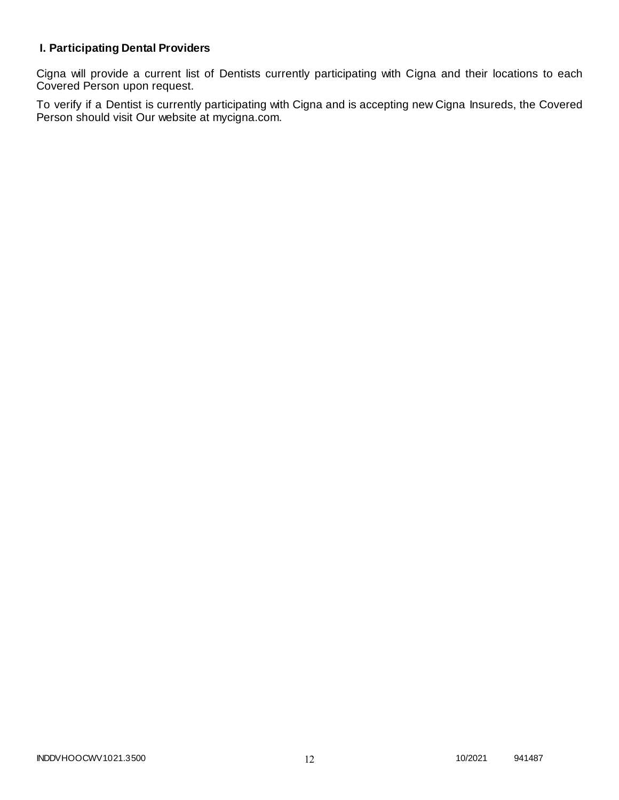# **I. Participating Dental Providers**

Cigna will provide a current list of Dentists currently participating with Cigna and their locations to each Covered Person upon request.

To verify if a Dentist is currently participating with Cigna and is accepting new Cigna Insureds, the Covered Person should visit Our website at mycigna.com.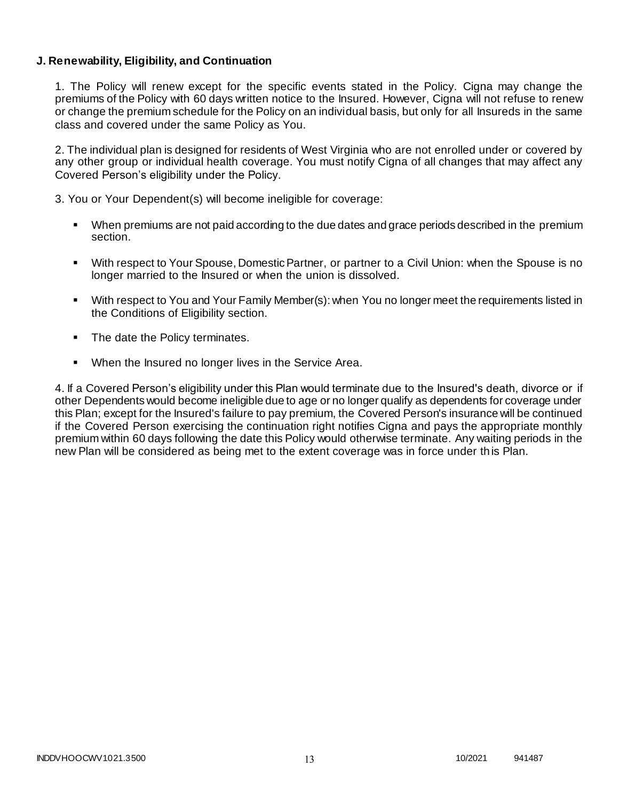### **J. Renewability, Eligibility, and Continuation**

1. The Policy will renew except for the specific events stated in the Policy. Cigna may change the premiums of the Policy with 60 days written notice to the Insured. However, Cigna will not refuse to renew or change the premium schedule for the Policy on an individual basis, but only for all Insureds in the same class and covered under the same Policy as You.

2. The individual plan is designed for residents of West Virginia who are not enrolled under or covered by any other group or individual health coverage. You must notify Cigna of all changes that may affect any Covered Person's eligibility under the Policy.

3. You or Your Dependent(s) will become ineligible for coverage:

- When premiums are not paid according to the due dates and grace periods described in the premium section.
- With respect to Your Spouse, Domestic Partner, or partner to a Civil Union: when the Spouse is no longer married to the Insured or when the union is dissolved.
- With respect to You and Your Family Member(s): when You no longer meet the requirements listed in the Conditions of Eligibility section.
- The date the Policy terminates.
- When the Insured no longer lives in the Service Area.

4. If a Covered Person's eligibility under this Plan would terminate due to the Insured's death, divorce or if other Dependents would become ineligible due to age or no longer qualify as dependents for coverage under this Plan; except for the Insured's failure to pay premium, the Covered Person's insurance will be continued if the Covered Person exercising the continuation right notifies Cigna and pays the appropriate monthly premium within 60 days following the date this Policy would otherwise terminate. Any waiting periods in the new Plan will be considered as being met to the extent coverage was in force under th is Plan.